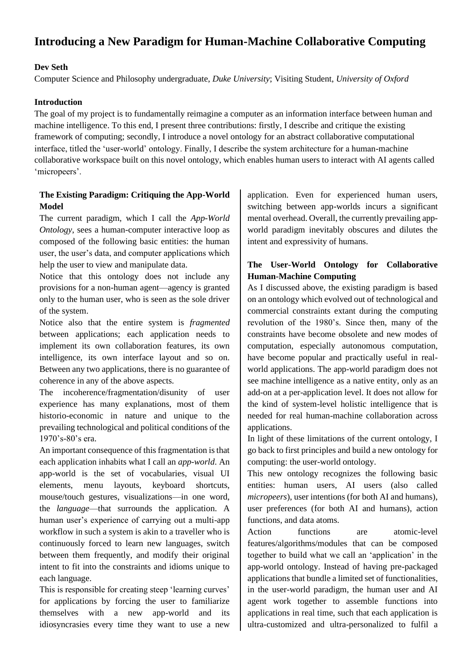# **Introducing a New Paradigm for Human-Machine Collaborative Computing**

## **Dev Seth**

Computer Science and Philosophy undergraduate, *Duke University*; Visiting Student, *University of Oxford*

## **Introduction**

The goal of my project is to fundamentally reimagine a computer as an information interface between human and machine intelligence. To this end, I present three contributions: firstly, I describe and critique the existing framework of computing; secondly, I introduce a novel ontology for an abstract collaborative computational interface, titled the 'user-world' ontology. Finally, I describe the system architecture for a human-machine collaborative workspace built on this novel ontology, which enables human users to interact with AI agents called 'micropeers'.

## **The Existing Paradigm: Critiquing the App-World Model**

The current paradigm, which I call the *App-World Ontology*, sees a human-computer interactive loop as composed of the following basic entities: the human user, the user's data, and computer applications which help the user to view and manipulate data.

Notice that this ontology does not include any provisions for a non-human agent—agency is granted only to the human user, who is seen as the sole driver of the system.

Notice also that the entire system is *fragmented* between applications; each application needs to implement its own collaboration features, its own intelligence, its own interface layout and so on. Between any two applications, there is no guarantee of coherence in any of the above aspects.

The incoherence/fragmentation/disunity of user experience has many explanations, most of them historio-economic in nature and unique to the prevailing technological and political conditions of the 1970's-80's era.

An important consequence of this fragmentation is that each application inhabits what I call an *app-world*. An app-world is the set of vocabularies, visual UI elements, menu layouts, keyboard shortcuts, mouse/touch gestures, visualizations—in one word, the *language*—that surrounds the application. A human user's experience of carrying out a multi-app workflow in such a system is akin to a traveller who is continuously forced to learn new languages, switch between them frequently, and modify their original intent to fit into the constraints and idioms unique to each language.

This is responsible for creating steep 'learning curves' for applications by forcing the user to familiarize themselves with a new app-world and its idiosyncrasies every time they want to use a new application. Even for experienced human users, switching between app-worlds incurs a significant mental overhead. Overall, the currently prevailing appworld paradigm inevitably obscures and dilutes the intent and expressivity of humans.

## **The User-World Ontology for Collaborative Human-Machine Computing**

As I discussed above, the existing paradigm is based on an ontology which evolved out of technological and commercial constraints extant during the computing revolution of the 1980's. Since then, many of the constraints have become obsolete and new modes of computation, especially autonomous computation, have become popular and practically useful in realworld applications. The app-world paradigm does not see machine intelligence as a native entity, only as an add-on at a per-application level. It does not allow for the kind of system-level holistic intelligence that is needed for real human-machine collaboration across applications.

In light of these limitations of the current ontology, I go back to first principles and build a new ontology for computing: the user-world ontology.

This new ontology recognizes the following basic entities: human users, AI users (also called *micropeers*), user intentions (for both AI and humans), user preferences (for both AI and humans), action functions, and data atoms.

Action functions are atomic-level features/algorithms/modules that can be composed together to build what we call an 'application' in the app-world ontology. Instead of having pre-packaged applications that bundle a limited set of functionalities, in the user-world paradigm, the human user and AI agent work together to assemble functions into applications in real time, such that each application is ultra-customized and ultra-personalized to fulfil a